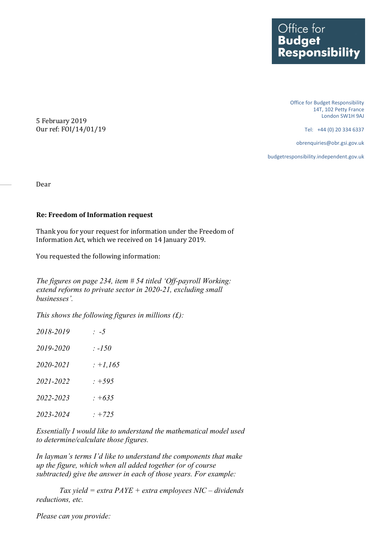Office for Budget Responsibility 14T, 102 Petty France London SW1H 9AJ

Tel: +44 (0) 20 334 6337

obrenquiries@obr.gsi.gov.uk

budgetresponsibility.independent.gov.uk

5 February 2019 Our ref: FOI/14/01/19

Dear

## **Re: Freedom of Information request**

Thank you for your request for information under the Freedom of Information Act, which we received on 14 January 2019.

You requested the following information:

*The figures on page 234, item # 54 titled 'Off-payroll Working: extend reforms to private sector in 2020-21, excluding small businesses'.*

*This shows the following figures in millions (£):* 

| 2018-2019 | $\therefore -5$ |
|-----------|-----------------|
| 2019-2020 | : -150 $\,$     |
| 2020-2021 | $: +1,165$      |
| 2021-2022 | $: +595$        |
| 2022-2023 | $: +635$        |
| 2023-2024 | $: +725$        |

*Essentially I would like to understand the mathematical model used to determine/calculate those figures.* 

*In layman's terms I'd like to understand the components that make up the figure, which when all added together (or of course subtracted) give the answer in each of those years. For example:*

*Tax yield = extra PAYE + extra employees NIC – dividends reductions, etc.*

*Please can you provide:*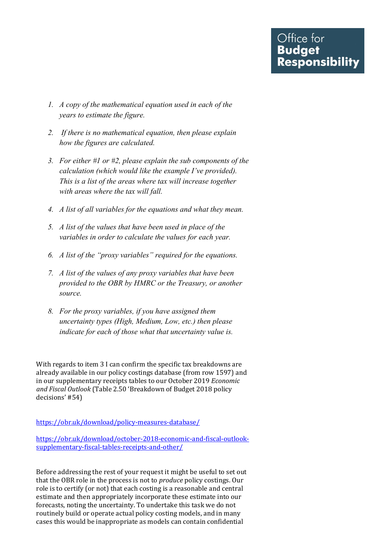- *1. A copy of the mathematical equation used in each of the years to estimate the figure.*
- *2. If there is no mathematical equation, then please explain how the figures are calculated.*
- *3. For either #1 or #2, please explain the sub components of the calculation (which would like the example I've provided). This is a list of the areas where tax will increase together with areas where the tax will fall.*
- *4. A list of all variables for the equations and what they mean.*
- *5. A list of the values that have been used in place of the variables in order to calculate the values for each year.*
- *6. A list of the "proxy variables" required for the equations.*
- *7. A list of the values of any proxy variables that have been provided to the OBR by HMRC or the Treasury, or another source.*
- *8. For the proxy variables, if you have assigned them uncertainty types (High, Medium, Low, etc.) then please indicate for each of those what that uncertainty value is.*

With regards to item 3 I can confirm the specific tax breakdowns are already available in our policy costings database (from row 1597) and in our supplementary receipts tables to our October 2019 *Economic and Fiscal Outlook* (Table 2.50 'Breakdown of Budget 2018 policy decisions' #54)

<https://obr.uk/download/policy-measures-database/>

[https://obr.uk/download/october-2018-economic-and-fiscal-outlook](https://obr.uk/download/october-2018-economic-and-fiscal-outlook-supplementary-fiscal-tables-receipts-and-other/)[supplementary-fiscal-tables-receipts-and-other/](https://obr.uk/download/october-2018-economic-and-fiscal-outlook-supplementary-fiscal-tables-receipts-and-other/) 

Before addressing the rest of your request it might be useful to set out that the OBR role in the process is not to *produce* policy costings. Our role is to certify (or not) that each costing is a reasonable and central estimate and then appropriately incorporate these estimate into our forecasts, noting the uncertainty. To undertake this task we do not routinely build or operate actual policy costing models, and in many cases this would be inappropriate as models can contain confidential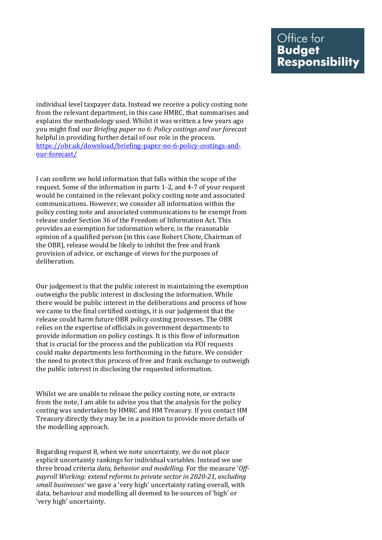individual level taxpayer data. Instead we receive a policy costing note from the relevant department, in this case HMRC, that summarises and explains the methodology used. Whilst it was written a few years ago you might find our *Briefing paper no 6: Policy costings and our forecast*  helpful in providing further detail of our role in the process. [https://obr.uk/download/briefing-paper-no-6-policy-costings-and](https://obr.uk/download/briefing-paper-no-6-policy-costings-and-our-forecast/)[our-forecast/](https://obr.uk/download/briefing-paper-no-6-policy-costings-and-our-forecast/) 

I can confirm we hold information that falls within the scope of the request. Some of the information in parts 1-2, and 4-7 of your request would be contained in the relevant policy costing note and associated communications. However, we consider all information within the policy costing note and associated communications to be exempt from release under Section 36 of the Freedom of Information Act. This provides an exemption for information where, in the reasonable opinion of a qualified person (in this case Robert Chote, Chairman of the OBR), release would be likely to inhibit the free and frank provision of advice, or exchange of views for the purposes of deliberation.

 Our judgement is that the public interest in maintaining the exemption outweighs the public interest in disclosing the information. While there would be public interest in the deliberations and process of how we came to the final certified costings, it is our judgement that the release could harm future OBR policy costing processes. The OBR relies on the expertise of officials in government departments to provide information on policy costings. It is this flow of information that is crucial for the process and the publication via FOI requests could make departments less forthcoming in the future. We consider the need to protect this process of free and frank exchange to outweigh the public interest in disclosing the requested information.

Whilst we are unable to release the policy costing note, or extracts from the note, I am able to advise you that the analysis for the policy costing was undertaken by HMRC and HM Treasury. If you contact HM Treasury directly they may be in a position to provide more details of the modelling approach.

Regarding request 8, when we note uncertainty, we do not place explicit uncertainty rankings for individual variables. Instead we use three broad criteria *data, behavior and modelling*. For the measure '*Offpayroll Working: extend reforms to private sector in 2020-21, excluding small businesses'* we gave a 'very high' uncertainty rating overall, with data, behaviour and modelling all deemed to be sources of 'high' or 'very high' uncertainty.